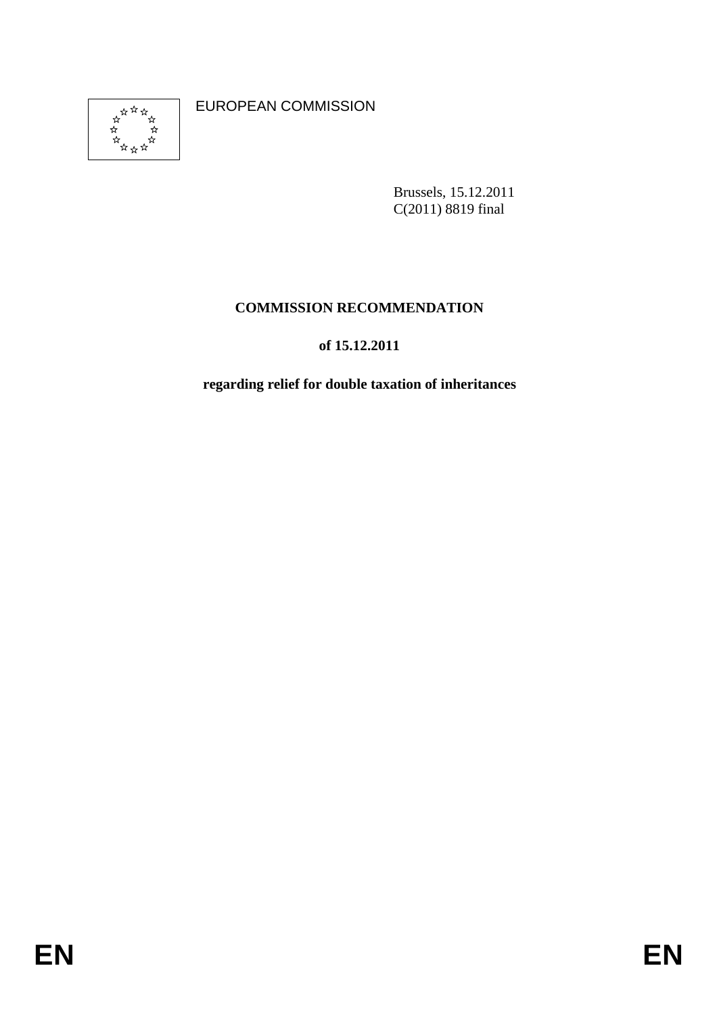

EUROPEAN COMMISSION

Brussels, 15.12.2011 C(2011) 8819 final

# **COMMISSION RECOMMENDATION**

## **of 15.12.2011**

## **regarding relief for double taxation of inheritances**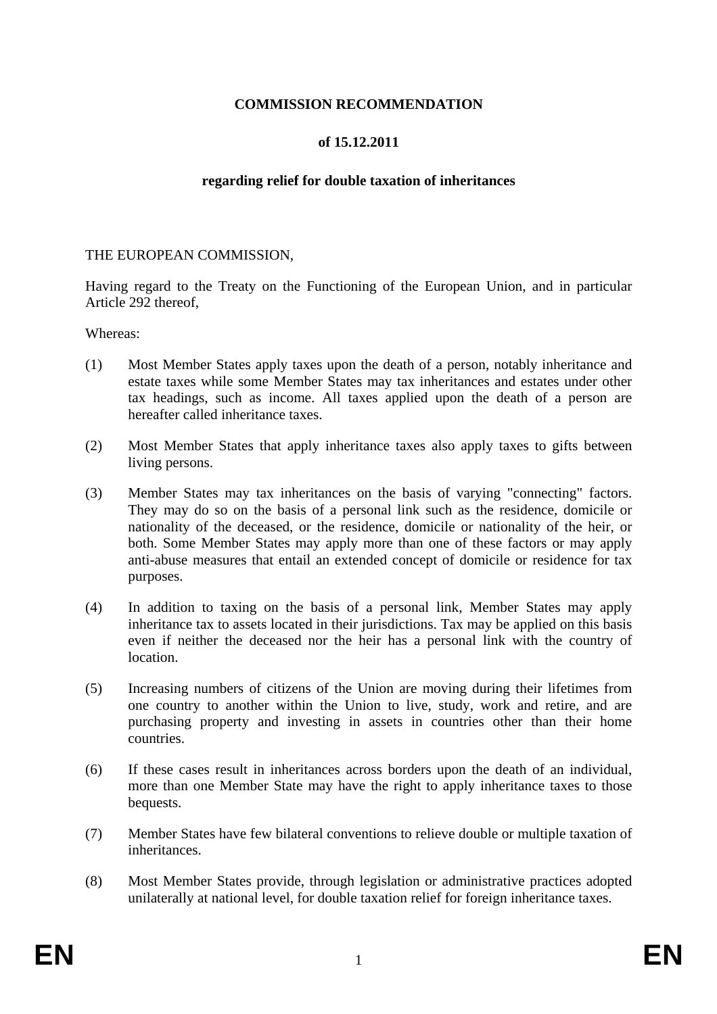### **COMMISSION RECOMMENDATION**

#### **of 15.12.2011**

#### **regarding relief for double taxation of inheritances**

#### THE EUROPEAN COMMISSION,

Having regard to the Treaty on the Functioning of the European Union, and in particular Article 292 thereof,

Whereas:

- (1) Most Member States apply taxes upon the death of a person, notably inheritance and estate taxes while some Member States may tax inheritances and estates under other tax headings, such as income. All taxes applied upon the death of a person are hereafter called inheritance taxes.
- (2) Most Member States that apply inheritance taxes also apply taxes to gifts between living persons.
- (3) Member States may tax inheritances on the basis of varying "connecting" factors. They may do so on the basis of a personal link such as the residence, domicile or nationality of the deceased, or the residence, domicile or nationality of the heir, or both. Some Member States may apply more than one of these factors or may apply anti-abuse measures that entail an extended concept of domicile or residence for tax purposes.
- (4) In addition to taxing on the basis of a personal link, Member States may apply inheritance tax to assets located in their jurisdictions. Tax may be applied on this basis even if neither the deceased nor the heir has a personal link with the country of **location**
- (5) Increasing numbers of citizens of the Union are moving during their lifetimes from one country to another within the Union to live, study, work and retire, and are purchasing property and investing in assets in countries other than their home countries.
- (6) If these cases result in inheritances across borders upon the death of an individual, more than one Member State may have the right to apply inheritance taxes to those bequests.
- (7) Member States have few bilateral conventions to relieve double or multiple taxation of inheritances.
- (8) Most Member States provide, through legislation or administrative practices adopted unilaterally at national level, for double taxation relief for foreign inheritance taxes.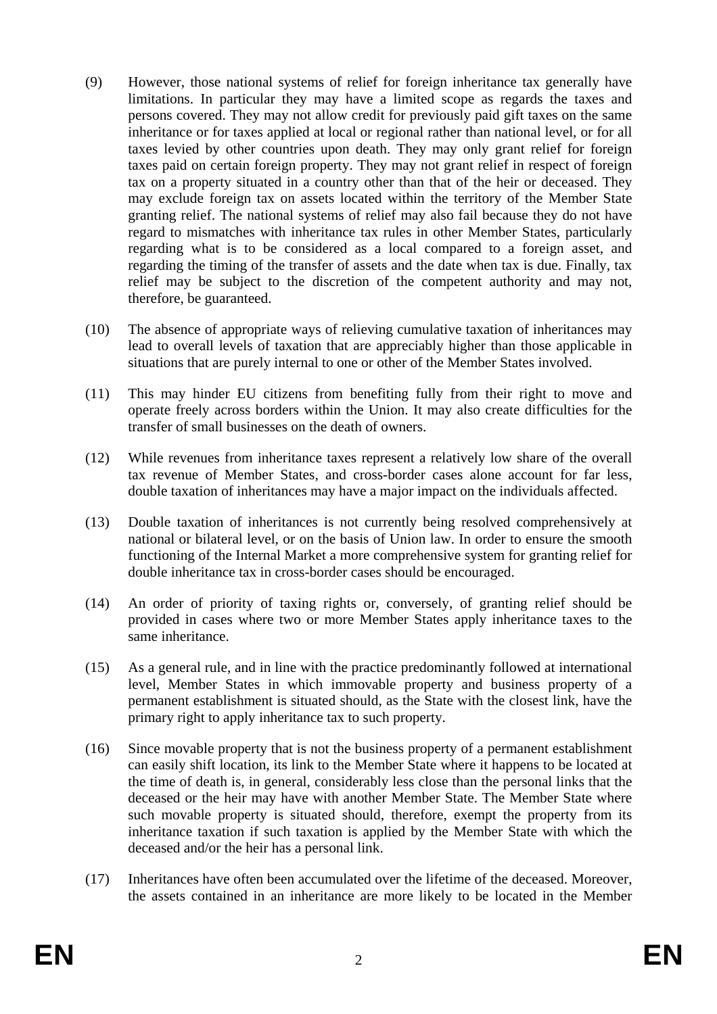- (9) However, those national systems of relief for foreign inheritance tax generally have limitations. In particular they may have a limited scope as regards the taxes and persons covered. They may not allow credit for previously paid gift taxes on the same inheritance or for taxes applied at local or regional rather than national level, or for all taxes levied by other countries upon death. They may only grant relief for foreign taxes paid on certain foreign property. They may not grant relief in respect of foreign tax on a property situated in a country other than that of the heir or deceased. They may exclude foreign tax on assets located within the territory of the Member State granting relief. The national systems of relief may also fail because they do not have regard to mismatches with inheritance tax rules in other Member States, particularly regarding what is to be considered as a local compared to a foreign asset, and regarding the timing of the transfer of assets and the date when tax is due. Finally, tax relief may be subject to the discretion of the competent authority and may not, therefore, be guaranteed.
- (10) The absence of appropriate ways of relieving cumulative taxation of inheritances may lead to overall levels of taxation that are appreciably higher than those applicable in situations that are purely internal to one or other of the Member States involved.
- (11) This may hinder EU citizens from benefiting fully from their right to move and operate freely across borders within the Union. It may also create difficulties for the transfer of small businesses on the death of owners.
- (12) While revenues from inheritance taxes represent a relatively low share of the overall tax revenue of Member States, and cross-border cases alone account for far less, double taxation of inheritances may have a major impact on the individuals affected.
- (13) Double taxation of inheritances is not currently being resolved comprehensively at national or bilateral level, or on the basis of Union law. In order to ensure the smooth functioning of the Internal Market a more comprehensive system for granting relief for double inheritance tax in cross-border cases should be encouraged.
- (14) An order of priority of taxing rights or, conversely, of granting relief should be provided in cases where two or more Member States apply inheritance taxes to the same inheritance.
- (15) As a general rule, and in line with the practice predominantly followed at international level, Member States in which immovable property and business property of a permanent establishment is situated should, as the State with the closest link, have the primary right to apply inheritance tax to such property.
- (16) Since movable property that is not the business property of a permanent establishment can easily shift location, its link to the Member State where it happens to be located at the time of death is, in general, considerably less close than the personal links that the deceased or the heir may have with another Member State. The Member State where such movable property is situated should, therefore, exempt the property from its inheritance taxation if such taxation is applied by the Member State with which the deceased and/or the heir has a personal link.
- (17) Inheritances have often been accumulated over the lifetime of the deceased. Moreover, the assets contained in an inheritance are more likely to be located in the Member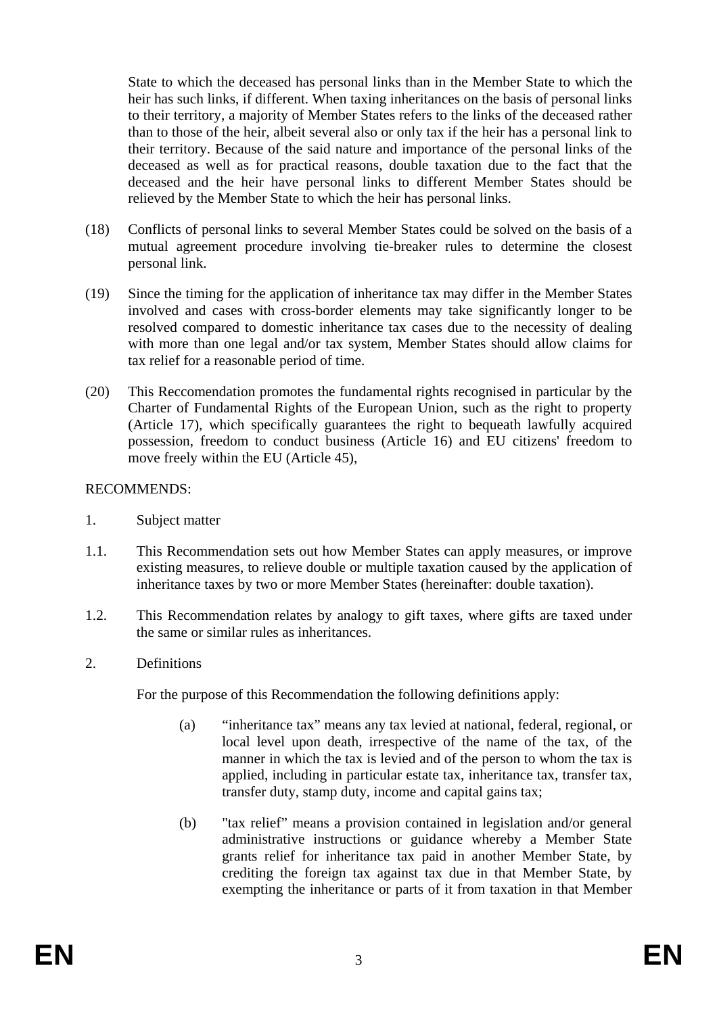State to which the deceased has personal links than in the Member State to which the heir has such links, if different. When taxing inheritances on the basis of personal links to their territory, a majority of Member States refers to the links of the deceased rather than to those of the heir, albeit several also or only tax if the heir has a personal link to their territory. Because of the said nature and importance of the personal links of the deceased as well as for practical reasons, double taxation due to the fact that the deceased and the heir have personal links to different Member States should be relieved by the Member State to which the heir has personal links.

- (18) Conflicts of personal links to several Member States could be solved on the basis of a mutual agreement procedure involving tie-breaker rules to determine the closest personal link.
- (19) Since the timing for the application of inheritance tax may differ in the Member States involved and cases with cross-border elements may take significantly longer to be resolved compared to domestic inheritance tax cases due to the necessity of dealing with more than one legal and/or tax system, Member States should allow claims for tax relief for a reasonable period of time.
- (20) This Reccomendation promotes the fundamental rights recognised in particular by the Charter of Fundamental Rights of the European Union, such as the right to property (Article 17), which specifically guarantees the right to bequeath lawfully acquired possession, freedom to conduct business (Article 16) and EU citizens' freedom to move freely within the EU (Article 45),

### RECOMMENDS:

- 1. Subject matter
- 1.1. This Recommendation sets out how Member States can apply measures, or improve existing measures, to relieve double or multiple taxation caused by the application of inheritance taxes by two or more Member States (hereinafter: double taxation).
- 1.2. This Recommendation relates by analogy to gift taxes, where gifts are taxed under the same or similar rules as inheritances.

#### 2. Definitions

For the purpose of this Recommendation the following definitions apply:

- (a) "inheritance tax" means any tax levied at national, federal, regional, or local level upon death, irrespective of the name of the tax, of the manner in which the tax is levied and of the person to whom the tax is applied, including in particular estate tax, inheritance tax, transfer tax, transfer duty, stamp duty, income and capital gains tax;
- (b) "tax relief" means a provision contained in legislation and/or general administrative instructions or guidance whereby a Member State grants relief for inheritance tax paid in another Member State, by crediting the foreign tax against tax due in that Member State, by exempting the inheritance or parts of it from taxation in that Member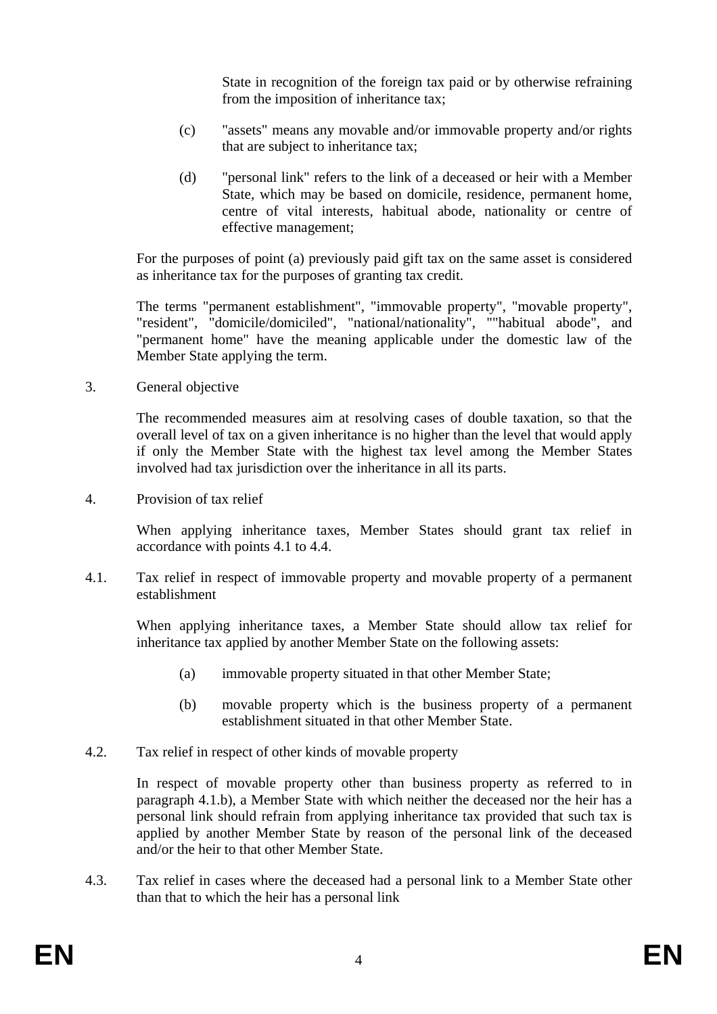State in recognition of the foreign tax paid or by otherwise refraining from the imposition of inheritance tax;

- (c) "assets" means any movable and/or immovable property and/or rights that are subject to inheritance tax;
- (d) "personal link" refers to the link of a deceased or heir with a Member State, which may be based on domicile, residence, permanent home, centre of vital interests, habitual abode, nationality or centre of effective management;

For the purposes of point (a) previously paid gift tax on the same asset is considered as inheritance tax for the purposes of granting tax credit.

The terms "permanent establishment", "immovable property", "movable property", "resident", "domicile/domiciled", "national/nationality", ""habitual abode", and "permanent home" have the meaning applicable under the domestic law of the Member State applying the term.

3. General objective

The recommended measures aim at resolving cases of double taxation, so that the overall level of tax on a given inheritance is no higher than the level that would apply if only the Member State with the highest tax level among the Member States involved had tax jurisdiction over the inheritance in all its parts.

4. Provision of tax relief

When applying inheritance taxes, Member States should grant tax relief in accordance with points 4.1 to 4.4.

4.1. Tax relief in respect of immovable property and movable property of a permanent establishment

When applying inheritance taxes, a Member State should allow tax relief for inheritance tax applied by another Member State on the following assets:

- (a) immovable property situated in that other Member State;
- (b) movable property which is the business property of a permanent establishment situated in that other Member State.
- 4.2. Tax relief in respect of other kinds of movable property

In respect of movable property other than business property as referred to in paragraph 4.1.b), a Member State with which neither the deceased nor the heir has a personal link should refrain from applying inheritance tax provided that such tax is applied by another Member State by reason of the personal link of the deceased and/or the heir to that other Member State.

4.3. Tax relief in cases where the deceased had a personal link to a Member State other than that to which the heir has a personal link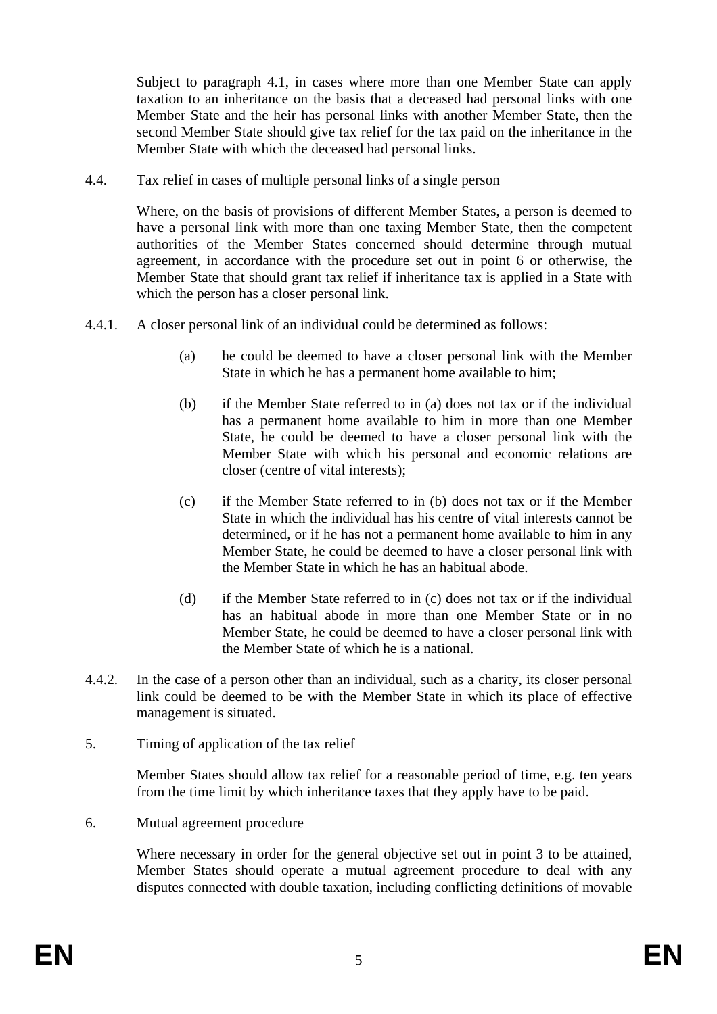Subject to paragraph 4.1, in cases where more than one Member State can apply taxation to an inheritance on the basis that a deceased had personal links with one Member State and the heir has personal links with another Member State, then the second Member State should give tax relief for the tax paid on the inheritance in the Member State with which the deceased had personal links.

4.4. Tax relief in cases of multiple personal links of a single person

Where, on the basis of provisions of different Member States, a person is deemed to have a personal link with more than one taxing Member State, then the competent authorities of the Member States concerned should determine through mutual agreement, in accordance with the procedure set out in point 6 or otherwise, the Member State that should grant tax relief if inheritance tax is applied in a State with which the person has a closer personal link.

- 4.4.1. A closer personal link of an individual could be determined as follows:
	- (a) he could be deemed to have a closer personal link with the Member State in which he has a permanent home available to him;
	- (b) if the Member State referred to in (a) does not tax or if the individual has a permanent home available to him in more than one Member State, he could be deemed to have a closer personal link with the Member State with which his personal and economic relations are closer (centre of vital interests);
	- (c) if the Member State referred to in (b) does not tax or if the Member State in which the individual has his centre of vital interests cannot be determined, or if he has not a permanent home available to him in any Member State, he could be deemed to have a closer personal link with the Member State in which he has an habitual abode.
	- (d) if the Member State referred to in (c) does not tax or if the individual has an habitual abode in more than one Member State or in no Member State, he could be deemed to have a closer personal link with the Member State of which he is a national.
- 4.4.2. In the case of a person other than an individual, such as a charity, its closer personal link could be deemed to be with the Member State in which its place of effective management is situated.
- 5. Timing of application of the tax relief

Member States should allow tax relief for a reasonable period of time, e.g. ten years from the time limit by which inheritance taxes that they apply have to be paid.

6. Mutual agreement procedure

Where necessary in order for the general objective set out in point 3 to be attained, Member States should operate a mutual agreement procedure to deal with any disputes connected with double taxation, including conflicting definitions of movable